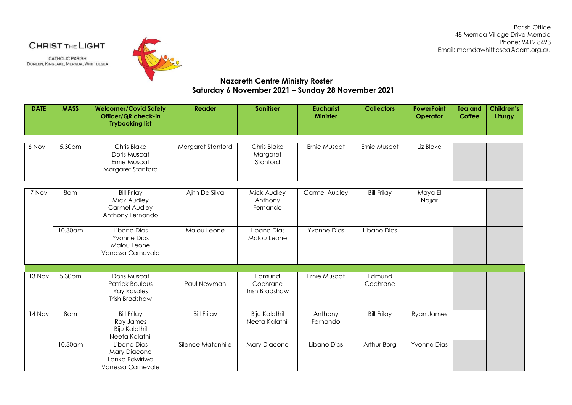Parish Office 48 Mernda Village Drive Mernda Phone: 9412 8493 Email: merndawhittlesea@cam.org.au

CHRIST THE LIGHT

**CATHOLIC PARISH** DOREEN, KINGLAKE, MERNDA, WHITTLESEA



## **Nazareth Centre Ministry Roster Saturday 6 November 2021 – Sunday 28 November 2021**

| <b>DATE</b> | <b>MASS</b> | <b>Welcomer/Covid Safety</b><br>Officer/QR check-in<br><b>Trybooking list</b>  | Reader             | <b>Sanitiser</b>                            | <b>Eucharist</b><br><b>Minister</b> | <b>Collectors</b>  | <b>PowerPoint</b><br>Operator | <b>Tea and</b><br><b>Coffee</b> | <b>Children's</b><br>Liturgy |
|-------------|-------------|--------------------------------------------------------------------------------|--------------------|---------------------------------------------|-------------------------------------|--------------------|-------------------------------|---------------------------------|------------------------------|
| 6 Nov       | 5.30pm      | <b>Chris Blake</b>                                                             | Margaret Stanford  | Chris Blake                                 | Ernie Muscat                        | Ernie Muscat       | Liz Blake                     |                                 |                              |
|             |             | Doris Muscat<br>Ernie Muscat<br>Margaret Stanford                              |                    | Margaret<br>Stanford                        |                                     |                    |                               |                                 |                              |
| 7 Nov       | 8am         | <b>Bill Frilay</b>                                                             | Ajith De Silva     | Mick Audley                                 | Carmel Audley                       | <b>Bill Frilay</b> | Maya El                       |                                 |                              |
|             |             | Mick Audley<br>Carmel Audley<br>Anthony Fernando                               |                    | Anthony<br>Fernando                         |                                     |                    | Najjar                        |                                 |                              |
|             | 10.30am     | Libano Dias<br><b>Yvonne Dias</b><br>Malou Leone<br>Vanessa Carnevale          | Malou Leone        | Libano Dias<br>Malou Leone                  | <b>Yvonne Dias</b>                  | Libano Dias        |                               |                                 |                              |
|             |             |                                                                                |                    |                                             |                                     |                    |                               |                                 |                              |
| 13 Nov      | 5.30pm      | Doris Muscat<br><b>Patrick Boulous</b><br><b>Ray Rosales</b><br>Trish Bradshaw | Paul Newman        | Edmund<br>Cochrane<br><b>Trish Bradshaw</b> | Ernie Muscat                        | Edmund<br>Cochrane |                               |                                 |                              |
| 14 Nov      | 8am         | <b>Bill Frilay</b><br>Roy James<br><b>Biju Kalathil</b><br>Neeta Kalathil      | <b>Bill Frilay</b> | <b>Biju Kalathil</b><br>Neeta Kalathil      | Anthony<br>Fernando                 | <b>Bill Frilay</b> | Ryan James                    |                                 |                              |
|             | 10.30 am    | Libano Dias<br>Mary Diacono<br>Lanka Edwiriwa<br>Vanessa Carnevale             | Silence Matanhiie  | Mary Diacono                                | Libano Dias                         | Arthur Borg        | <b>Yvonne Dias</b>            |                                 |                              |